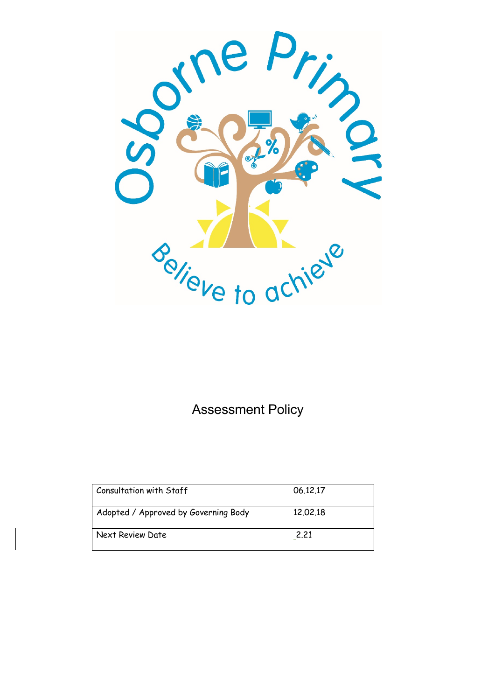

Assessment Policy

| <b>Consultation with Staff</b>       | 06.12.17 |
|--------------------------------------|----------|
| Adopted / Approved by Governing Body | 12,02,18 |
| Next Review Date                     | 2.21     |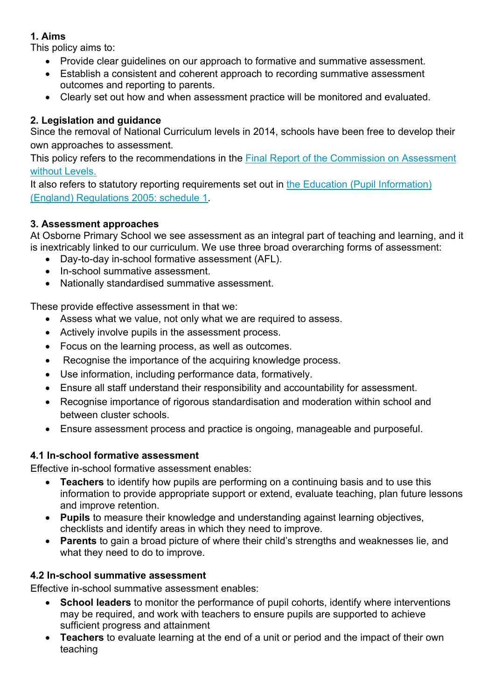## **1. Aims**

This policy aims to:

- Provide clear guidelines on our approach to formative and summative assessment.
- Establish a consistent and coherent approach to recording summative assessment outcomes and reporting to parents.
- Clearly set out how and when assessment practice will be monitored and evaluated.

# **2. Legislation and guidance**

Since the removal of National Curriculum levels in 2014, schools have been free to develop their own approaches to assessment.

This policy refers to the recommendations in the Final Report of the Commission on Assessment without Levels.

It also refers to statutory reporting requirements set out in the Education (Pupil Information) (England) Regulations 2005: schedule 1.

## **3. Assessment approaches**

At Osborne Primary School we see assessment as an integral part of teaching and learning, and it is inextricably linked to our curriculum. We use three broad overarching forms of assessment:

- Day-to-day in-school formative assessment (AFL).
- In-school summative assessment.
- Nationally standardised summative assessment.

These provide effective assessment in that we:

- Assess what we value, not only what we are required to assess.
- Actively involve pupils in the assessment process.
- Focus on the learning process, as well as outcomes.
- Recognise the importance of the acquiring knowledge process.
- Use information, including performance data, formatively.
- Ensure all staff understand their responsibility and accountability for assessment.
- Recognise importance of rigorous standardisation and moderation within school and between cluster schools.
- Ensure assessment process and practice is ongoing, manageable and purposeful.

# **4.1 In-school formative assessment**

Effective in-school formative assessment enables:

- **Teachers** to identify how pupils are performing on a continuing basis and to use this information to provide appropriate support or extend, evaluate teaching, plan future lessons and improve retention.
- **Pupils** to measure their knowledge and understanding against learning objectives, checklists and identify areas in which they need to improve.
- **Parents** to gain a broad picture of where their child's strengths and weaknesses lie, and what they need to do to improve.

# **4.2 In-school summative assessment**

Effective in-school summative assessment enables:

- **School leaders** to monitor the performance of pupil cohorts, identify where interventions may be required, and work with teachers to ensure pupils are supported to achieve sufficient progress and attainment
- **Teachers** to evaluate learning at the end of a unit or period and the impact of their own teaching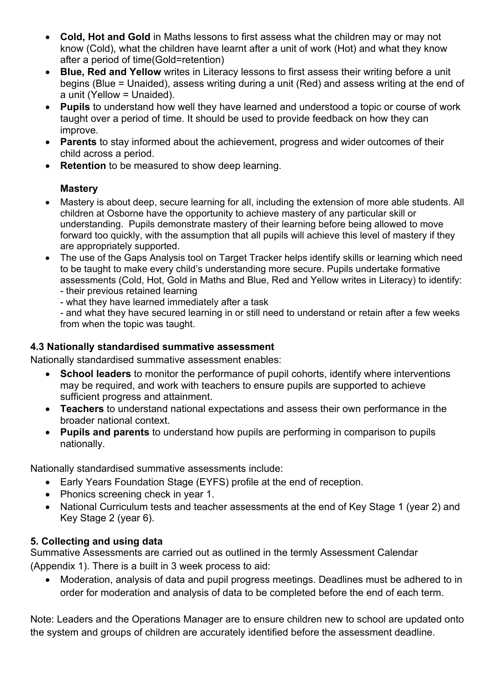- **Cold, Hot and Gold** in Maths lessons to first assess what the children may or may not know (Cold), what the children have learnt after a unit of work (Hot) and what they know after a period of time(Gold=retention)
- **Blue, Red and Yellow** writes in Literacy lessons to first assess their writing before a unit begins (Blue = Unaided), assess writing during a unit (Red) and assess writing at the end of a unit (Yellow = Unaided).
- **Pupils** to understand how well they have learned and understood a topic or course of work taught over a period of time. It should be used to provide feedback on how they can improve.
- **Parents** to stay informed about the achievement, progress and wider outcomes of their child across a period.
- **Retention** to be measured to show deep learning.

## **Mastery**

- Mastery is about deep, secure learning for all, including the extension of more able students. All children at Osborne have the opportunity to achieve mastery of any particular skill or understanding. Pupils demonstrate mastery of their learning before being allowed to move forward too quickly, with the assumption that all pupils will achieve this level of mastery if they are appropriately supported.
- The use of the Gaps Analysis tool on Target Tracker helps identify skills or learning which need to be taught to make every child's understanding more secure. Pupils undertake formative assessments (Cold, Hot, Gold in Maths and Blue, Red and Yellow writes in Literacy) to identify: - their previous retained learning
	- what they have learned immediately after a task

- and what they have secured learning in or still need to understand or retain after a few weeks from when the topic was taught.

### **4.3 Nationally standardised summative assessment**

Nationally standardised summative assessment enables:

- **School leaders** to monitor the performance of pupil cohorts, identify where interventions may be required, and work with teachers to ensure pupils are supported to achieve sufficient progress and attainment.
- **Teachers** to understand national expectations and assess their own performance in the broader national context.
- **Pupils and parents** to understand how pupils are performing in comparison to pupils nationally.

Nationally standardised summative assessments include:

- Early Years Foundation Stage (EYFS) profile at the end of reception.
- Phonics screening check in year 1.
- National Curriculum tests and teacher assessments at the end of Key Stage 1 (year 2) and Key Stage 2 (year 6).

## **5. Collecting and using data**

Summative Assessments are carried out as outlined in the termly Assessment Calendar (Appendix 1). There is a built in 3 week process to aid:

• Moderation, analysis of data and pupil progress meetings. Deadlines must be adhered to in order for moderation and analysis of data to be completed before the end of each term.

Note: Leaders and the Operations Manager are to ensure children new to school are updated onto the system and groups of children are accurately identified before the assessment deadline.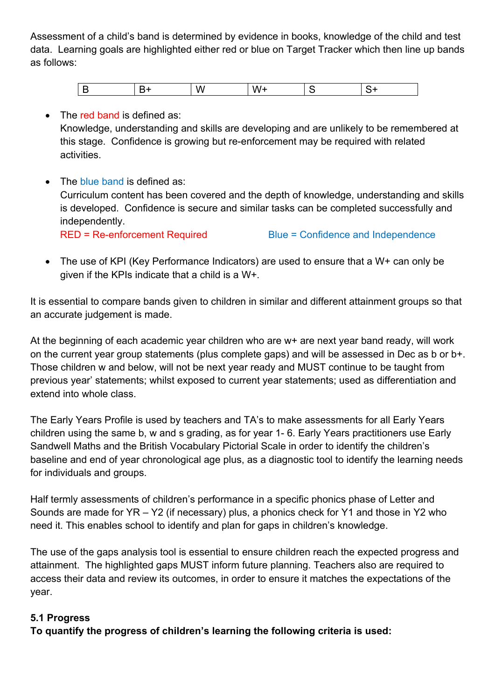Assessment of a child's band is determined by evidence in books, knowledge of the child and test data. Learning goals are highlighted either red or blue on Target Tracker which then line up bands as follows:

#### • The red band is defined as:

Knowledge, understanding and skills are developing and are unlikely to be remembered at this stage. Confidence is growing but re-enforcement may be required with related activities.

- The blue band is defined as: Curriculum content has been covered and the depth of knowledge, understanding and skills is developed. Confidence is secure and similar tasks can be completed successfully and independently. RED = Re-enforcement Required Blue = Confidence and Independence
- The use of KPI (Key Performance Indicators) are used to ensure that a W+ can only be given if the KPIs indicate that a child is a W+.

It is essential to compare bands given to children in similar and different attainment groups so that an accurate judgement is made.

At the beginning of each academic year children who are w+ are next year band ready, will work on the current year group statements (plus complete gaps) and will be assessed in Dec as b or b+. Those children w and below, will not be next year ready and MUST continue to be taught from previous year' statements; whilst exposed to current year statements; used as differentiation and extend into whole class.

The Early Years Profile is used by teachers and TA's to make assessments for all Early Years children using the same b, w and s grading, as for year 1- 6. Early Years practitioners use Early Sandwell Maths and the British Vocabulary Pictorial Scale in order to identify the children's baseline and end of year chronological age plus, as a diagnostic tool to identify the learning needs for individuals and groups.

Half termly assessments of children's performance in a specific phonics phase of Letter and Sounds are made for YR – Y2 (if necessary) plus, a phonics check for Y1 and those in Y2 who need it. This enables school to identify and plan for gaps in children's knowledge.

The use of the gaps analysis tool is essential to ensure children reach the expected progress and attainment. The highlighted gaps MUST inform future planning. Teachers also are required to access their data and review its outcomes, in order to ensure it matches the expectations of the year.

#### **5.1 Progress**

**To quantify the progress of children's learning the following criteria is used:**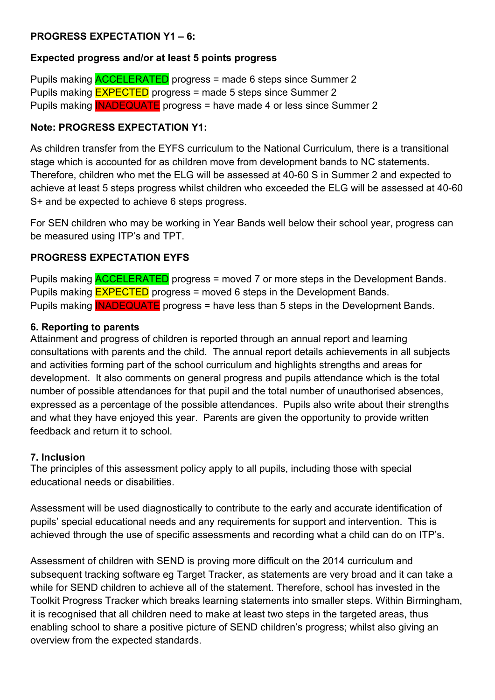#### **PROGRESS EXPECTATION Y1 – 6:**

#### **Expected progress and/or at least 5 points progress**

Pupils making ACCELERATED progress = made 6 steps since Summer 2 Pupils making EXPECTED progress = made 5 steps since Summer 2 Pupils making INADEQUATE progress = have made 4 or less since Summer 2

#### **Note: PROGRESS EXPECTATION Y1:**

As children transfer from the EYFS curriculum to the National Curriculum, there is a transitional stage which is accounted for as children move from development bands to NC statements. Therefore, children who met the ELG will be assessed at 40-60 S in Summer 2 and expected to achieve at least 5 steps progress whilst children who exceeded the ELG will be assessed at 40-60 S+ and be expected to achieve 6 steps progress.

For SEN children who may be working in Year Bands well below their school year, progress can be measured using ITP's and TPT.

#### **PROGRESS EXPECTATION EYFS**

Pupils making ACCELERATED progress = moved 7 or more steps in the Development Bands. Pupils making **EXPECTED** progress = moved 6 steps in the Development Bands. Pupils making **INADEQUATE** progress = have less than 5 steps in the Development Bands.

#### **6. Reporting to parents**

Attainment and progress of children is reported through an annual report and learning consultations with parents and the child. The annual report details achievements in all subjects and activities forming part of the school curriculum and highlights strengths and areas for development. It also comments on general progress and pupils attendance which is the total number of possible attendances for that pupil and the total number of unauthorised absences, expressed as a percentage of the possible attendances. Pupils also write about their strengths and what they have enjoyed this year. Parents are given the opportunity to provide written feedback and return it to school.

#### **7. Inclusion**

The principles of this assessment policy apply to all pupils, including those with special educational needs or disabilities.

Assessment will be used diagnostically to contribute to the early and accurate identification of pupils' special educational needs and any requirements for support and intervention. This is achieved through the use of specific assessments and recording what a child can do on ITP's.

Assessment of children with SEND is proving more difficult on the 2014 curriculum and subsequent tracking software eg Target Tracker, as statements are very broad and it can take a while for SEND children to achieve all of the statement. Therefore, school has invested in the Toolkit Progress Tracker which breaks learning statements into smaller steps. Within Birmingham, it is recognised that all children need to make at least two steps in the targeted areas, thus enabling school to share a positive picture of SEND children's progress; whilst also giving an overview from the expected standards.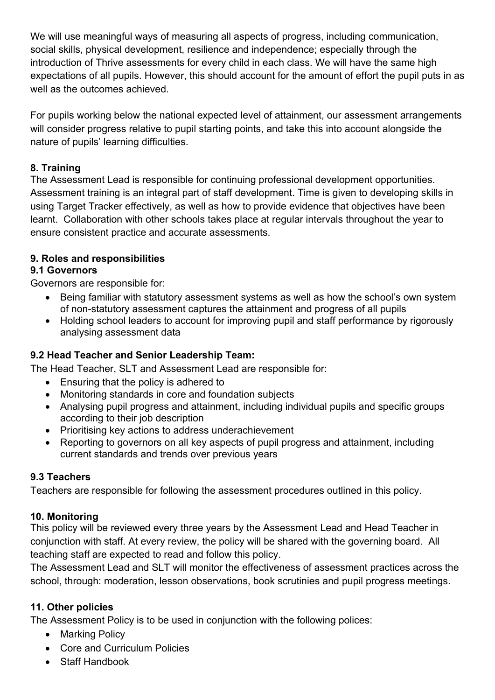We will use meaningful ways of measuring all aspects of progress, including communication, social skills, physical development, resilience and independence; especially through the introduction of Thrive assessments for every child in each class. We will have the same high expectations of all pupils. However, this should account for the amount of effort the pupil puts in as well as the outcomes achieved.

For pupils working below the national expected level of attainment, our assessment arrangements will consider progress relative to pupil starting points, and take this into account alongside the nature of pupils' learning difficulties.

### **8. Training**

The Assessment Lead is responsible for continuing professional development opportunities. Assessment training is an integral part of staff development. Time is given to developing skills in using Target Tracker effectively, as well as how to provide evidence that objectives have been learnt. Collaboration with other schools takes place at regular intervals throughout the year to ensure consistent practice and accurate assessments.

#### **9. Roles and responsibilities**

#### **9.1 Governors**

Governors are responsible for:

- Being familiar with statutory assessment systems as well as how the school's own system of non-statutory assessment captures the attainment and progress of all pupils
- Holding school leaders to account for improving pupil and staff performance by rigorously analysing assessment data

## **9.2 Head Teacher and Senior Leadership Team:**

The Head Teacher, SLT and Assessment Lead are responsible for:

- Ensuring that the policy is adhered to
- Monitoring standards in core and foundation subjects
- Analysing pupil progress and attainment, including individual pupils and specific groups according to their job description
- Prioritising key actions to address underachievement
- Reporting to governors on all key aspects of pupil progress and attainment, including current standards and trends over previous years

## **9.3 Teachers**

Teachers are responsible for following the assessment procedures outlined in this policy.

## **10. Monitoring**

This policy will be reviewed every three years by the Assessment Lead and Head Teacher in conjunction with staff. At every review, the policy will be shared with the governing board. All teaching staff are expected to read and follow this policy.

The Assessment Lead and SLT will monitor the effectiveness of assessment practices across the school, through: moderation, lesson observations, book scrutinies and pupil progress meetings.

#### **11. Other policies**

The Assessment Policy is to be used in conjunction with the following polices:

- Marking Policy
- Core and Curriculum Policies
- Staff Handbook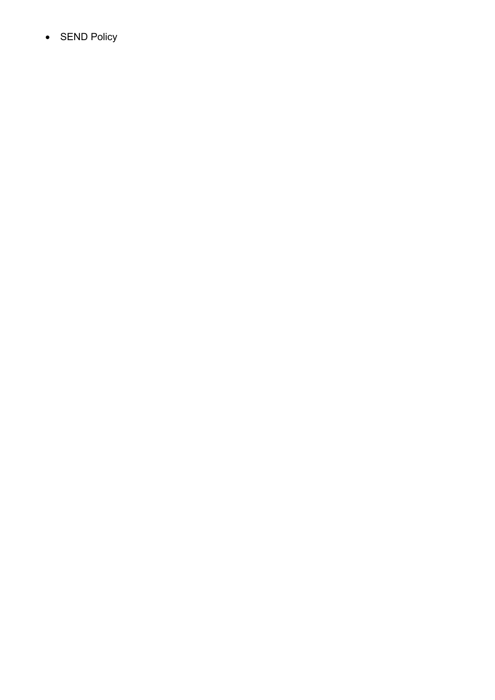• SEN D Policy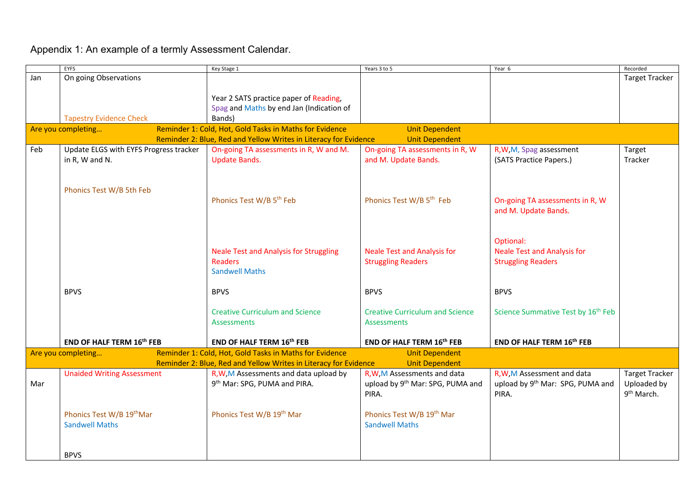Appendix 1: An example of a termly Assessment Calendar.

|                                                                                                        | <b>EYFS</b>                            | Key Stage 1                                                      | Years 3 to 5                           | Year 6                                         | Recorded               |  |
|--------------------------------------------------------------------------------------------------------|----------------------------------------|------------------------------------------------------------------|----------------------------------------|------------------------------------------------|------------------------|--|
| Jan                                                                                                    | On going Observations                  |                                                                  |                                        |                                                | <b>Target Tracker</b>  |  |
|                                                                                                        |                                        |                                                                  |                                        |                                                |                        |  |
|                                                                                                        |                                        | Year 2 SATS practice paper of Reading,                           |                                        |                                                |                        |  |
|                                                                                                        |                                        | Spag and Maths by end Jan (Indication of                         |                                        |                                                |                        |  |
|                                                                                                        | <b>Tapestry Evidence Check</b>         | Bands)                                                           |                                        |                                                |                        |  |
| Reminder 1: Cold, Hot, Gold Tasks in Maths for Evidence<br><b>Unit Dependent</b><br>Are you completing |                                        |                                                                  |                                        |                                                |                        |  |
|                                                                                                        |                                        | Reminder 2: Blue, Red and Yellow Writes in Literacy for Evidence | <b>Unit Dependent</b>                  |                                                |                        |  |
| Feb                                                                                                    | Update ELGS with EYFS Progress tracker | On-going TA assessments in R, W and M.                           | On-going TA assessments in R, W        | R, W, M, Spag assessment                       | Target                 |  |
|                                                                                                        | in R, W and N.                         | <b>Update Bands.</b>                                             | and M. Update Bands.                   | (SATS Practice Papers.)                        | Tracker                |  |
|                                                                                                        |                                        |                                                                  |                                        |                                                |                        |  |
|                                                                                                        |                                        |                                                                  |                                        |                                                |                        |  |
|                                                                                                        | Phonics Test W/B 5th Feb               |                                                                  |                                        |                                                |                        |  |
|                                                                                                        |                                        | Phonics Test W/B 5 <sup>th</sup> Feb                             | Phonics Test W/B 5 <sup>th</sup> Feb   | On-going TA assessments in R, W                |                        |  |
|                                                                                                        |                                        |                                                                  |                                        | and M. Update Bands.                           |                        |  |
|                                                                                                        |                                        |                                                                  |                                        |                                                |                        |  |
|                                                                                                        |                                        |                                                                  |                                        |                                                |                        |  |
|                                                                                                        |                                        |                                                                  |                                        | Optional:                                      |                        |  |
|                                                                                                        |                                        | <b>Neale Test and Analysis for Struggling</b>                    | <b>Neale Test and Analysis for</b>     | <b>Neale Test and Analysis for</b>             |                        |  |
|                                                                                                        |                                        | <b>Readers</b>                                                   | <b>Struggling Readers</b>              | <b>Struggling Readers</b>                      |                        |  |
|                                                                                                        |                                        | <b>Sandwell Maths</b>                                            |                                        |                                                |                        |  |
|                                                                                                        |                                        |                                                                  |                                        |                                                |                        |  |
|                                                                                                        | <b>BPVS</b>                            | <b>BPVS</b>                                                      | <b>BPVS</b>                            | <b>BPVS</b>                                    |                        |  |
|                                                                                                        |                                        | <b>Creative Curriculum and Science</b>                           | <b>Creative Curriculum and Science</b> | Science Summative Test by 16 <sup>th</sup> Feb |                        |  |
|                                                                                                        |                                        | <b>Assessments</b>                                               | <b>Assessments</b>                     |                                                |                        |  |
|                                                                                                        |                                        |                                                                  |                                        |                                                |                        |  |
|                                                                                                        | END OF HALF TERM 16 <sup>th</sup> FEB  | END OF HALF TERM 16th FEB                                        | END OF HALF TERM 16th FEB              | END OF HALF TERM 16 <sup>th</sup> FEB          |                        |  |
|                                                                                                        | Are you completing                     | Reminder 1: Cold, Hot, Gold Tasks in Maths for Evidence          | <b>Unit Dependent</b>                  |                                                |                        |  |
| Reminder 2: Blue, Red and Yellow Writes in Literacy for Evidence<br><b>Unit Dependent</b>              |                                        |                                                                  |                                        |                                                |                        |  |
|                                                                                                        | <b>Unaided Writing Assessment</b>      | R, W, M Assessments and data upload by                           | R, W, M Assessments and data           | R, W, M Assessment and data                    | <b>Target Tracker</b>  |  |
| Mar                                                                                                    |                                        | 9 <sup>th</sup> Mar: SPG, PUMA and PIRA.                         | upload by 9th Mar: SPG, PUMA and       | upload by 9 <sup>th</sup> Mar: SPG, PUMA and   | Uploaded by            |  |
|                                                                                                        |                                        |                                                                  | PIRA.                                  | PIRA.                                          | 9 <sup>th</sup> March. |  |
|                                                                                                        |                                        |                                                                  |                                        |                                                |                        |  |
|                                                                                                        | Phonics Test W/B 19thMar               | Phonics Test W/B 19th Mar                                        | Phonics Test W/B 19th Mar              |                                                |                        |  |
|                                                                                                        | <b>Sandwell Maths</b>                  |                                                                  | <b>Sandwell Maths</b>                  |                                                |                        |  |
|                                                                                                        |                                        |                                                                  |                                        |                                                |                        |  |
|                                                                                                        |                                        |                                                                  |                                        |                                                |                        |  |
|                                                                                                        | <b>BPVS</b>                            |                                                                  |                                        |                                                |                        |  |